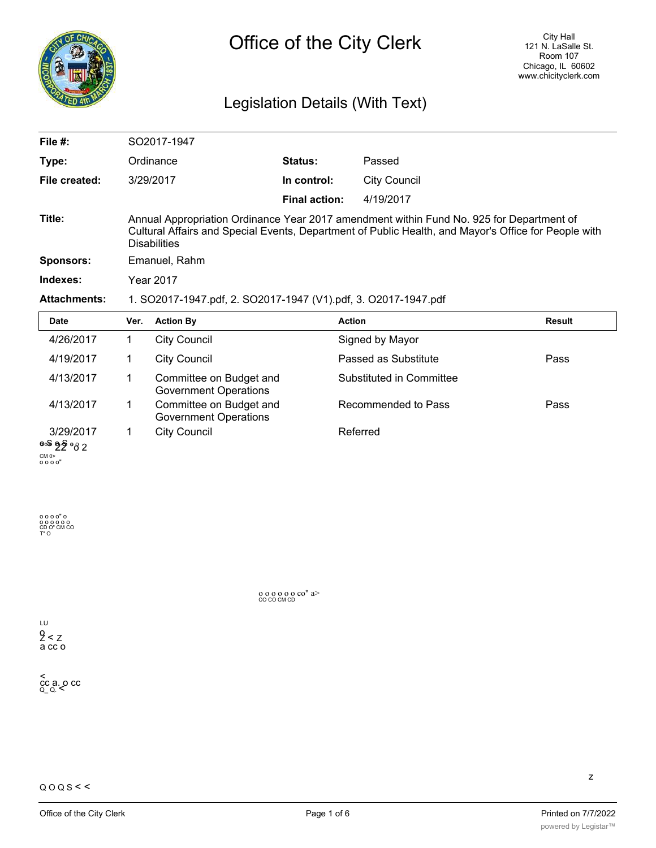

# Legislation Details (With Text)

| File $#$ :          | SO2017-1947                                                                                                                                                                                                             |                      |                     |               |  |  |  |
|---------------------|-------------------------------------------------------------------------------------------------------------------------------------------------------------------------------------------------------------------------|----------------------|---------------------|---------------|--|--|--|
| Type:               | Ordinance                                                                                                                                                                                                               | <b>Status:</b>       | Passed              |               |  |  |  |
| File created:       | 3/29/2017                                                                                                                                                                                                               | In control:          | <b>City Council</b> |               |  |  |  |
|                     |                                                                                                                                                                                                                         | <b>Final action:</b> | 4/19/2017           |               |  |  |  |
| Title:              | Annual Appropriation Ordinance Year 2017 amendment within Fund No. 925 for Department of<br>Cultural Affairs and Special Events, Department of Public Health, and Mayor's Office for People with<br><b>Disabilities</b> |                      |                     |               |  |  |  |
| <b>Sponsors:</b>    | Emanuel, Rahm                                                                                                                                                                                                           |                      |                     |               |  |  |  |
| Indexes:            | <b>Year 2017</b>                                                                                                                                                                                                        |                      |                     |               |  |  |  |
| <b>Attachments:</b> | 1. SO2017-1947.pdf, 2. SO2017-1947 (V1).pdf, 3. O2017-1947.pdf                                                                                                                                                          |                      |                     |               |  |  |  |
| <b>Date</b>         | <b>Action By</b><br>Ver.                                                                                                                                                                                                | <b>Action</b>        |                     | <b>Result</b> |  |  |  |

| Date                                               | Ver. | <b>Action By</b>                                        | Action                   | Result |
|----------------------------------------------------|------|---------------------------------------------------------|--------------------------|--------|
| 4/26/2017                                          |      | <b>City Council</b>                                     | Signed by Mayor          |        |
| 4/19/2017                                          |      | <b>City Council</b>                                     | Passed as Substitute     | Pass   |
| 4/13/2017                                          |      | Committee on Budget and<br><b>Government Operations</b> | Substituted in Committee |        |
| 4/13/2017                                          |      | Committee on Budget and<br><b>Government Operations</b> | Recommended to Pass      | Pass   |
| 3/29/2017<br><sup>စ</sup> ≫် ၅ွ§ ∘ <sub>၀ိ 2</sub> |      | <b>City Council</b>                                     | Referred                 |        |

CM 0> o o o o"

o o o o" o o o o o o o CD O" CM CO T" O

o o o o o o co" a> CO CO CM CD

LU o Z < Z a cc o

< cc a. o cc Q\_ Q. <

z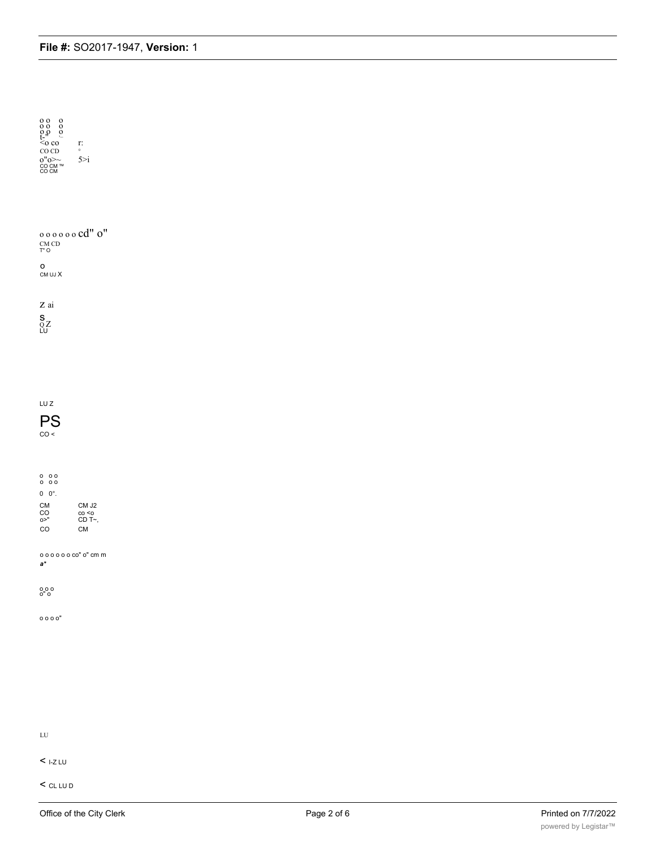| $\begin{array}{cc} 0 & 0 & 0 \\ 0 & 0 & 0 \\ 0 & 0 & 0 \\ t^{-n} & \stackrel{\cdot}{\sim} \\ <\!0 & \mathbf{C} \mathbf{0} \end{array}$<br>$_{\rm CO\ CD}$<br>$0''0>\sim$ CO CM TM<br>CO CM TM | r:<br>$\circ$<br>5 > i                 |  |  |  |
|-----------------------------------------------------------------------------------------------------------------------------------------------------------------------------------------------|----------------------------------------|--|--|--|
| $\circ \circ \circ \circ \circ \circ \text{cd}'' \text{ o}''$<br>$\begin{array}{c}\textrm{CM} \textrm{ } \textrm{CD}\\ \textrm{T}^\ast \, \textrm{O} \end{array}$                             |                                        |  |  |  |
| о<br>CM UJ X                                                                                                                                                                                  |                                        |  |  |  |
| Z ai<br>$\mathop{\mathrm{S}_{\mathrm{QZ}}}\limits_{\mathop{\mathrm{LU}}}$                                                                                                                     |                                        |  |  |  |
|                                                                                                                                                                                               |                                        |  |  |  |
| $LUZ$                                                                                                                                                                                         |                                        |  |  |  |
| <b>PS</b><br>CO <                                                                                                                                                                             |                                        |  |  |  |
| $\begin{matrix} 0 & 0 & 0 \\ 0 & 0 & 0 \end{matrix}$                                                                                                                                          |                                        |  |  |  |
| $0 \quad 0^{\circ}$ .                                                                                                                                                                         |                                        |  |  |  |
| CM<br>CO<br>0>''<br>CO                                                                                                                                                                        | CM J2<br>$\cos$<br>CD T~,<br><b>CM</b> |  |  |  |
| 000000 co" o" cm m<br>$\mathbf{a}^{\star}$                                                                                                                                                    |                                        |  |  |  |
| $\begin{smallmatrix} 0 & 0 & 0 \\ 0^{\prime\prime} & 0 \end{smallmatrix}$                                                                                                                     |                                        |  |  |  |
| 0000                                                                                                                                                                                          |                                        |  |  |  |
|                                                                                                                                                                                               |                                        |  |  |  |
|                                                                                                                                                                                               |                                        |  |  |  |
|                                                                                                                                                                                               |                                        |  |  |  |
| ${\rm LU}$                                                                                                                                                                                    |                                        |  |  |  |

 $<$  1-Z LU

 $<$  CL LU D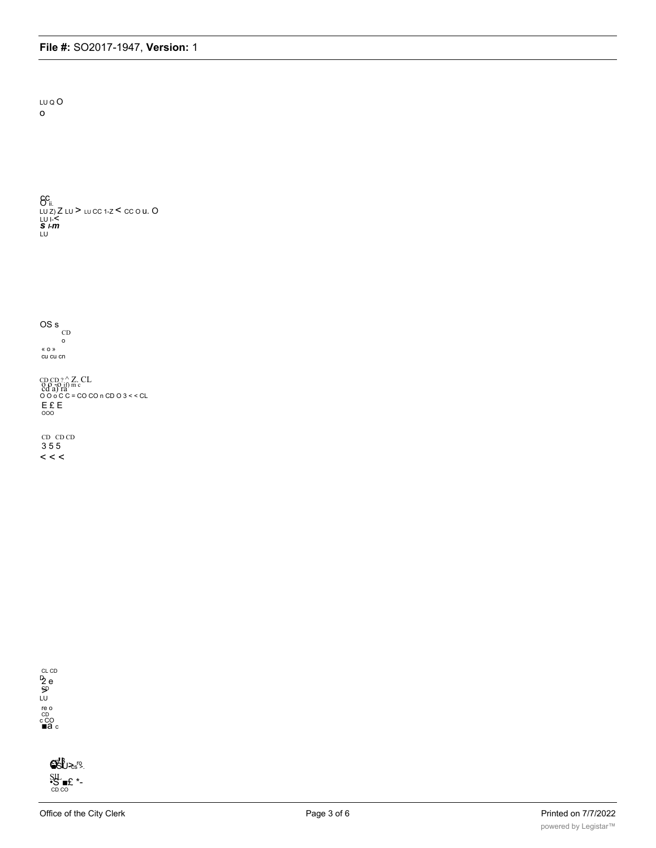LU Q O  $\circ$ 

 $G_{\text{in}}^{\text{C}}$ <br>
LU Z) Z LU > LU CC 1-Z < CC O U. O<br>
LU I-<<br>
S I-m<br>LU

 $\frac{OS}{CD}$  $\circ$ « o »<br>cu cu cn

CD CD ?  $\triangle$  Z. CL<br>
0.0 -0 if) m c<br>
0.0 o C C = CO CO n CD 0.3 < < CL  $E$   $E$   $E$ 

 $CD$   $CD$   $CD$ 355  $\,<\,$   $\,<$ 



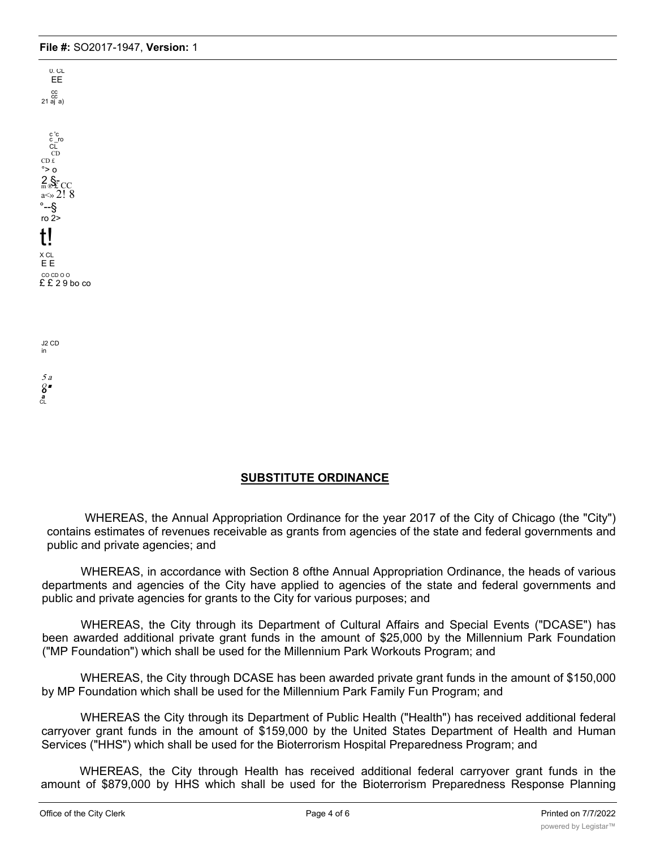EE cc<br>21 aj a) c 'c c \_ro CL CD  $CD E$  $\degree$ > o  $2\text{S}_{\text{ECC}}$ a $\ll 2!8$ °--§ ro  $2$ t! X CL E E CO CD O O  $£ £ 29$  bo co

0. CL

J2 CD in 5 a

Q ■ *o a* CL

## **SUBSTITUTE ORDINANCE**

WHEREAS, the Annual Appropriation Ordinance for the year 2017 of the City of Chicago (the "City") contains estimates of revenues receivable as grants from agencies of the state and federal governments and public and private agencies; and

WHEREAS, in accordance with Section 8 ofthe Annual Appropriation Ordinance, the heads of various departments and agencies of the City have applied to agencies of the state and federal governments and public and private agencies for grants to the City for various purposes; and

WHEREAS, the City through its Department of Cultural Affairs and Special Events ("DCASE") has been awarded additional private grant funds in the amount of \$25,000 by the Millennium Park Foundation ("MP Foundation") which shall be used for the Millennium Park Workouts Program; and

WHEREAS, the City through DCASE has been awarded private grant funds in the amount of \$150,000 by MP Foundation which shall be used for the Millennium Park Family Fun Program; and

WHEREAS the City through its Department of Public Health ("Health") has received additional federal carryover grant funds in the amount of \$159,000 by the United States Department of Health and Human Services ("HHS") which shall be used for the Bioterrorism Hospital Preparedness Program; and

WHEREAS, the City through Health has received additional federal carryover grant funds in the amount of \$879,000 by HHS which shall be used for the Bioterrorism Preparedness Response Planning